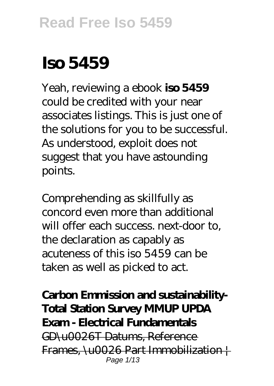# **Iso 5459**

Yeah, reviewing a ebook **iso 5459** could be credited with your near associates listings. This is just one of the solutions for you to be successful. As understood, exploit does not suggest that you have astounding points.

Comprehending as skillfully as concord even more than additional will offer each success. next-door to, the declaration as capably as acuteness of this iso 5459 can be taken as well as picked to act.

**Carbon Emmission and sustainability-Total Station Survey MMUP UPDA Exam - Electrical Fundamentals** GD\u0026T Datums, Reference Frames, \u0026 Part Immobilization | Page 1/13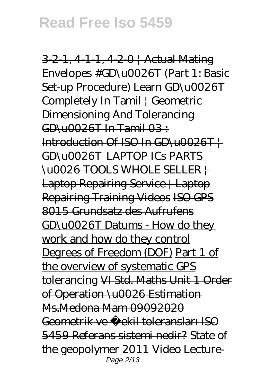3-2-1, 4-1-1, 4-2-0 | Actual Mating Envelopes #GD\u0026T (Part 1: Basic Set-up Procedure) Learn GD\u0026T Completely In Tamil | Geometric Dimensioning And Tolerancing  $CD<sub>U</sub>0026T$  In Tamil  $03<sup>T</sup>$ Introduction Of ISO In GD\u0026T | GD\u0026T LAPTOP ICs PARTS \u0026 TOOLS WHOLE SELLER | Laptop Repairing Service | Laptop Repairing Training Videos ISO GPS 8015 Grundsatz des Aufrufens GD\u0026T Datums - How do they work and how do they control Degrees of Freedom (DOF) Part 1 of the overview of systematic GPS tolerancing VI Std. Maths Unit 1 Order of Operation \u0026 Estimation Ms.Medona Mam 09092020 Geometrik ve ekil toleransları ISO 5459 Referans sistemi nedir? *State of the geopolymer 2011* Video Lecture-Page 2/13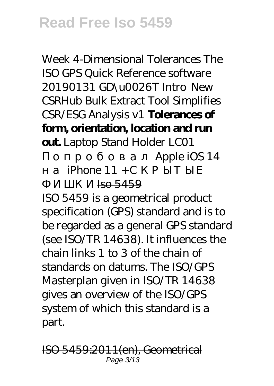Week 4-Dimensional Tolerances *The ISO GPS Quick Reference software 20190131 GD\u0026T Intro New CSRHub Bulk Extract Tool Simplifies CSR/ESG Analysis v1* **Tolerances of form, orientation, location and run out.** *Laptop Stand Holder LC01*

Apple iOS 14

iPhone  $11 +$ 

 $Iso 5459$ 

ISO 5459 is a geometrical product specification (GPS) standard and is to be regarded as a general GPS standard (see ISO/TR 14638). It influences the chain links 1 to 3 of the chain of standards on datums. The ISO/GPS Masterplan given in ISO/TR 14638 gives an overview of the ISO/GPS system of which this standard is a part.

ISO 5459:2011(en), Geometrical Page 3/13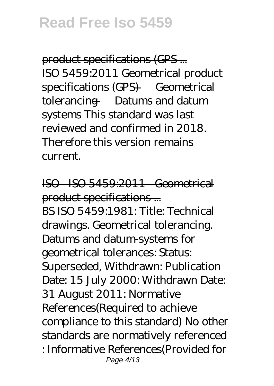product specifications (GPS ... ISO 5459:2011 Geometrical product specifications (GPS) — Geometrical tolerancing — Datums and datum systems This standard was last reviewed and confirmed in 2018. Therefore this version remains current.

ISO - ISO 5459:2011 - Geometrical product specifications ... BS ISO 5459:1981: Title: Technical drawings. Geometrical tolerancing. Datums and datum-systems for geometrical tolerances: Status: Superseded, Withdrawn: Publication Date: 15 July 2000: Withdrawn Date: 31 August 2011: Normative References(Required to achieve compliance to this standard) No other standards are normatively referenced : Informative References(Provided for Page 4/13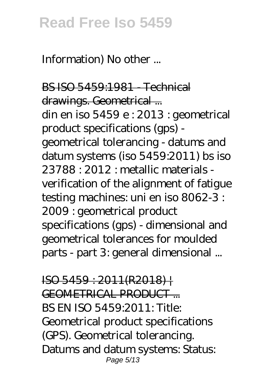Information) No other ...

BS ISO 5459:1981 - Technical drawings. Geometrical ... din en iso 5459 e : 2013 : geometrical product specifications (gps) geometrical tolerancing - datums and datum systems (iso 5459:2011) bs iso 23788 : 2012 : metallic materials verification of the alignment of fatigue testing machines: uni en iso 8062-3 : 2009 : geometrical product specifications (gps) - dimensional and geometrical tolerances for moulded parts - part 3: general dimensional ...

 $ISO 5459 : 2011(R2018)$ GEOMETRICAL PRODUCT ... BS EN ISO 5459:2011: Title: Geometrical product specifications (GPS). Geometrical tolerancing. Datums and datum systems: Status: Page 5/13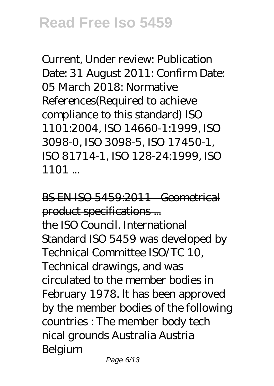Current, Under review: Publication Date: 31 August 2011: Confirm Date: 05 March 2018: Normative References(Required to achieve compliance to this standard) ISO 1101:2004, ISO 14660-1:1999, ISO 3098-0, ISO 3098-5, ISO 17450-1, ISO 81714-1, ISO 128-24:1999, ISO 1101 ...

BS EN ISO 5459:2011 - Geometrical product specifications ... the ISO Council. International Standard ISO 5459 was developed by Technical Committee ISO/TC 10, Technical drawings, and was circulated to the member bodies in February 1978. lt has been approved by the member bodies of the following countries : The member body tech nical grounds Australia Austria Belgium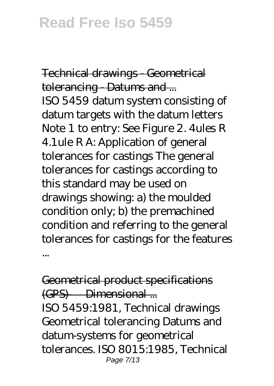Technical drawings - Geometrical tolerancing Datums and ... ISO 5459 datum system consisting of datum targets with the datum letters Note 1 to entry: See Figure 2. 4ules R 4.1ule R A: Application of general tolerances for castings The general tolerances for castings according to this standard may be used on drawings showing: a) the moulded condition only; b) the premachined condition and referring to the general tolerances for castings for the features ...

Geometrical product specifications (GPS) — Dimensional ... ISO 5459:1981, Technical drawings Geometrical tolerancing Datums and datum-systems for geometrical tolerances. ISO 8015:1985, Technical Page 7/13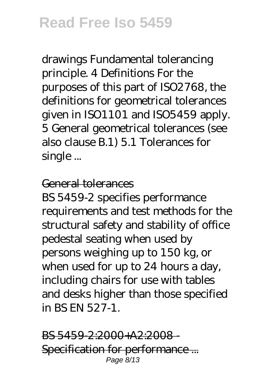drawings Fundamental tolerancing principle. 4 Definitions For the purposes of this part of ISO2768, the definitions for geometrical tolerances given in ISO1101 and ISO5459 apply. 5 General geometrical tolerances (see also clause B.1) 5.1 Tolerances for single ...

#### General tolerances

BS 5459-2 specifies performance requirements and test methods for the structural safety and stability of office pedestal seating when used by persons weighing up to 150 kg, or when used for up to 24 hours a day, including chairs for use with tables and desks higher than those specified in BS EN 527-1.

BS 5459-2:2000+A2:2008 - Specification for performance ... Page 8/13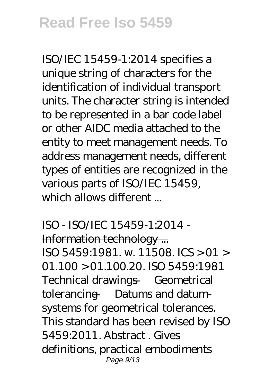ISO/IEC 15459-1:2014 specifies a unique string of characters for the identification of individual transport units. The character string is intended to be represented in a bar code label or other AIDC media attached to the entity to meet management needs. To address management needs, different types of entities are recognized in the various parts of ISO/IEC 15459, which allows different

ISO - ISO/IEC 15459-1:2014 - Information technology ... ISO 5459:1981. w. 11508. ICS > 01 > 01.100 > 01.100.20. ISO 5459:1981 Technical drawings — Geometrical tolerancing — Datums and datumsystems for geometrical tolerances. This standard has been revised by ISO 5459:2011. Abstract . Gives definitions, practical embodiments Page 9/13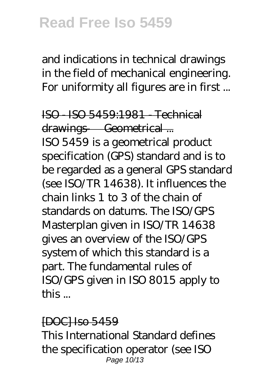and indications in technical drawings in the field of mechanical engineering. For uniformity all figures are in first ...

ISO - ISO 5459:1981 - Technical drawings — Geometrical ... ISO 5459 is a geometrical product specification (GPS) standard and is to be regarded as a general GPS standard (see ISO/TR 14638). It influences the chain links 1 to 3 of the chain of standards on datums. The ISO/GPS Masterplan given in ISO/TR 14638 gives an overview of the ISO/GPS system of which this standard is a part. The fundamental rules of ISO/GPS given in ISO 8015 apply to this ...

#### [DOC] Iso 5459

This International Standard defines the specification operator (see ISO Page 10/13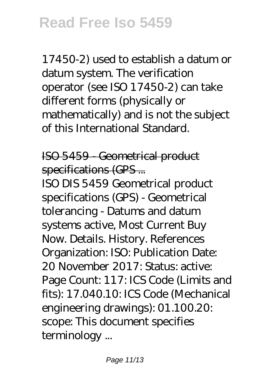17450-2) used to establish a datum or datum system. The verification operator (see ISO 17450-2) can take different forms (physically or mathematically) and is not the subject of this International Standard.

ISO 5459 - Geometrical product specifications (GPS...

ISO DIS 5459 Geometrical product specifications (GPS) - Geometrical tolerancing - Datums and datum systems active, Most Current Buy Now. Details. History. References Organization: ISO: Publication Date: 20 November 2017: Status: active: Page Count: 117: ICS Code (Limits and fits): 17.040.10: ICS Code (Mechanical engineering drawings): 01.100.20: scope: This document specifies terminology ...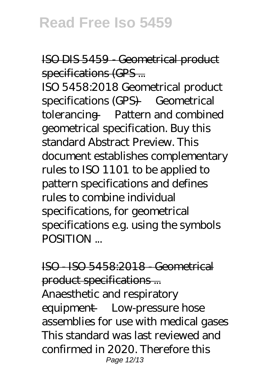ISO DIS 5459 - Geometrical product specifications (GPS...

ISO 5458:2018 Geometrical product specifications (GPS) — Geometrical tolerancing — Pattern and combined geometrical specification. Buy this standard Abstract Preview. This document establishes complementary rules to ISO 1101 to be applied to pattern specifications and defines rules to combine individual specifications, for geometrical specifications e.g. using the symbols POSITION ...

ISO - ISO 5458:2018 - Geometrical product specifications ... Anaesthetic and respiratory equipment — Low-pressure hose assemblies for use with medical gases This standard was last reviewed and confirmed in 2020. Therefore this Page 12/13